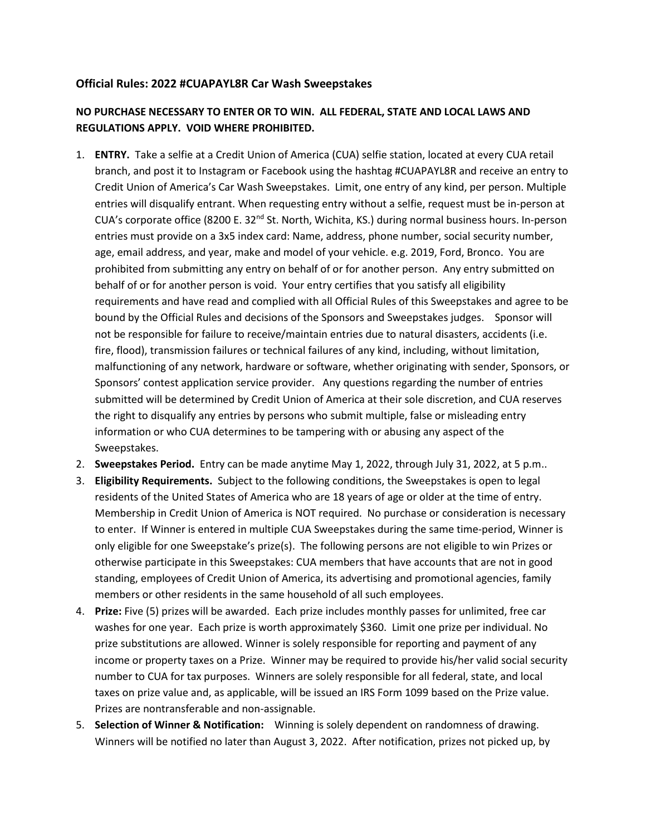## **Official Rules: 2022 #CUAPAYL8R Car Wash Sweepstakes**

## **NO PURCHASE NECESSARY TO ENTER OR TO WIN. ALL FEDERAL, STATE AND LOCAL LAWS AND REGULATIONS APPLY. VOID WHERE PROHIBITED.**

- 1. **ENTRY.** Take a selfie at a Credit Union of America (CUA) selfie station, located at every CUA retail branch, and post it to Instagram or Facebook using the hashtag #CUAPAYL8R and receive an entry to Credit Union of America's Car Wash Sweepstakes. Limit, one entry of any kind, per person. Multiple entries will disqualify entrant. When requesting entry without a selfie, request must be in-person at CUA's corporate office (8200 E. 32<sup>nd</sup> St. North, Wichita, KS.) during normal business hours. In-person entries must provide on a 3x5 index card: Name, address, phone number, social security number, age, email address, and year, make and model of your vehicle. e.g. 2019, Ford, Bronco. You are prohibited from submitting any entry on behalf of or for another person. Any entry submitted on behalf of or for another person is void. Your entry certifies that you satisfy all eligibility requirements and have read and complied with all Official Rules of this Sweepstakes and agree to be bound by the Official Rules and decisions of the Sponsors and Sweepstakes judges. Sponsor will not be responsible for failure to receive/maintain entries due to natural disasters, accidents (i.e. fire, flood), transmission failures or technical failures of any kind, including, without limitation, malfunctioning of any network, hardware or software, whether originating with sender, Sponsors, or Sponsors' contest application service provider. Any questions regarding the number of entries submitted will be determined by Credit Union of America at their sole discretion, and CUA reserves the right to disqualify any entries by persons who submit multiple, false or misleading entry information or who CUA determines to be tampering with or abusing any aspect of the Sweepstakes.
- 2. **Sweepstakes Period.** Entry can be made anytime May 1, 2022, through July 31, 2022, at 5 p.m..
- 3. **Eligibility Requirements.** Subject to the following conditions, the Sweepstakes is open to legal residents of the United States of America who are 18 years of age or older at the time of entry. Membership in Credit Union of America is NOT required. No purchase or consideration is necessary to enter. If Winner is entered in multiple CUA Sweepstakes during the same time-period, Winner is only eligible for one Sweepstake's prize(s). The following persons are not eligible to win Prizes or otherwise participate in this Sweepstakes: CUA members that have accounts that are not in good standing, employees of Credit Union of America, its advertising and promotional agencies, family members or other residents in the same household of all such employees.
- 4. **Prize:** Five (5) prizes will be awarded. Each prize includes monthly passes for unlimited, free car washes for one year. Each prize is worth approximately \$360. Limit one prize per individual. No prize substitutions are allowed. Winner is solely responsible for reporting and payment of any income or property taxes on a Prize. Winner may be required to provide his/her valid social security number to CUA for tax purposes. Winners are solely responsible for all federal, state, and local taxes on prize value and, as applicable, will be issued an IRS Form 1099 based on the Prize value. Prizes are nontransferable and non-assignable.
- 5. **Selection of Winner & Notification:** Winning is solely dependent on randomness of drawing. Winners will be notified no later than August 3, 2022. After notification, prizes not picked up, by